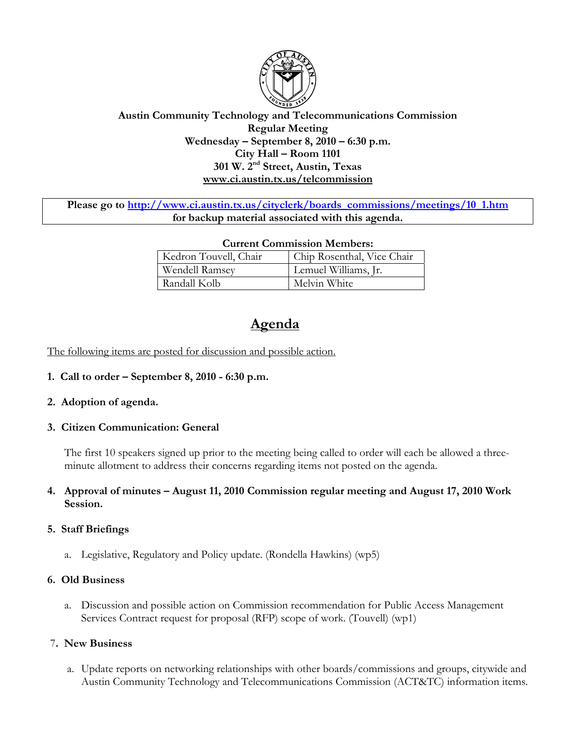

# **Austin Community Technology and Telecommunications Commission Regular Meeting Wednesday – September 8, 2010 – 6:30 p.m. City Hall – Room 1101 301 W. 2nd Street, Austin, Texas www.ci.austin.tx.us/telcommission**

Please go to http://www.ci.austin.tx.us/cityclerk/boards\_commissions/meetings/10\_1.htm **for backup material associated with this agenda.** 

| <b>Current Commission Members:</b> |                            |
|------------------------------------|----------------------------|
| Kedron Touvell, Chair              | Chip Rosenthal, Vice Chair |
| Wendell Ramsey                     | Lemuel Williams, Jr.       |
| Randall Kolb                       | Melvin White               |

# **Agenda**

The following items are posted for discussion and possible action.

**1. Call to order – September 8, 2010 - 6:30 p.m.** 

# **2. Adoption of agenda.**

### **3. Citizen Communication: General**

The first 10 speakers signed up prior to the meeting being called to order will each be allowed a threeminute allotment to address their concerns regarding items not posted on the agenda.

### **4. Approval of minutes – August 11, 2010 Commission regular meeting and August 17, 2010 Work Session.**

### **5. Staff Briefings**

a. Legislative, Regulatory and Policy update. (Rondella Hawkins) (wp5)

### **6. Old Business**

a. Discussion and possible action on Commission recommendation for Public Access Management Services Contract request for proposal (RFP) scope of work. (Touvell) (wp1)

### 7**. New Business**

 a. Update reports on networking relationships with other boards/commissions and groups, citywide and Austin Community Technology and Telecommunications Commission (ACT&TC) information items.